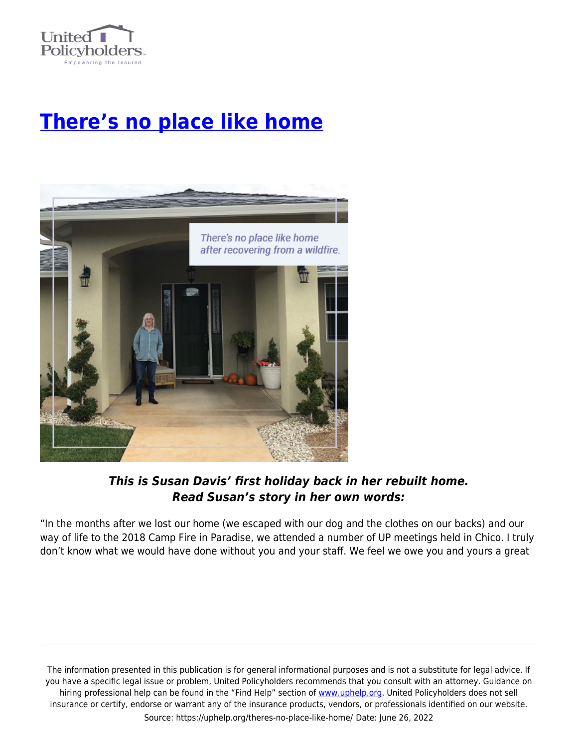

## **[There's no place like home](https://uphelp.org/theres-no-place-like-home/)**



## *This is Susan Davis' first holiday back in her rebuilt home. Read Susan's story in her own words:*

"In the months after we lost our home (we escaped with our dog and the clothes on our backs) and our way of life to the 2018 Camp Fire in Paradise, we attended a number of UP meetings held in Chico. I truly don't know what we would have done without you and your staff. We feel we owe you and yours a great

The information presented in this publication is for general informational purposes and is not a substitute for legal advice. If you have a specific legal issue or problem, United Policyholders recommends that you consult with an attorney. Guidance on hiring professional help can be found in the "Find Help" section of [www.uphelp.org.](http://www.uphelp.org/) United Policyholders does not sell insurance or certify, endorse or warrant any of the insurance products, vendors, or professionals identified on our website. Source: https://uphelp.org/theres-no-place-like-home/ Date: June 26, 2022